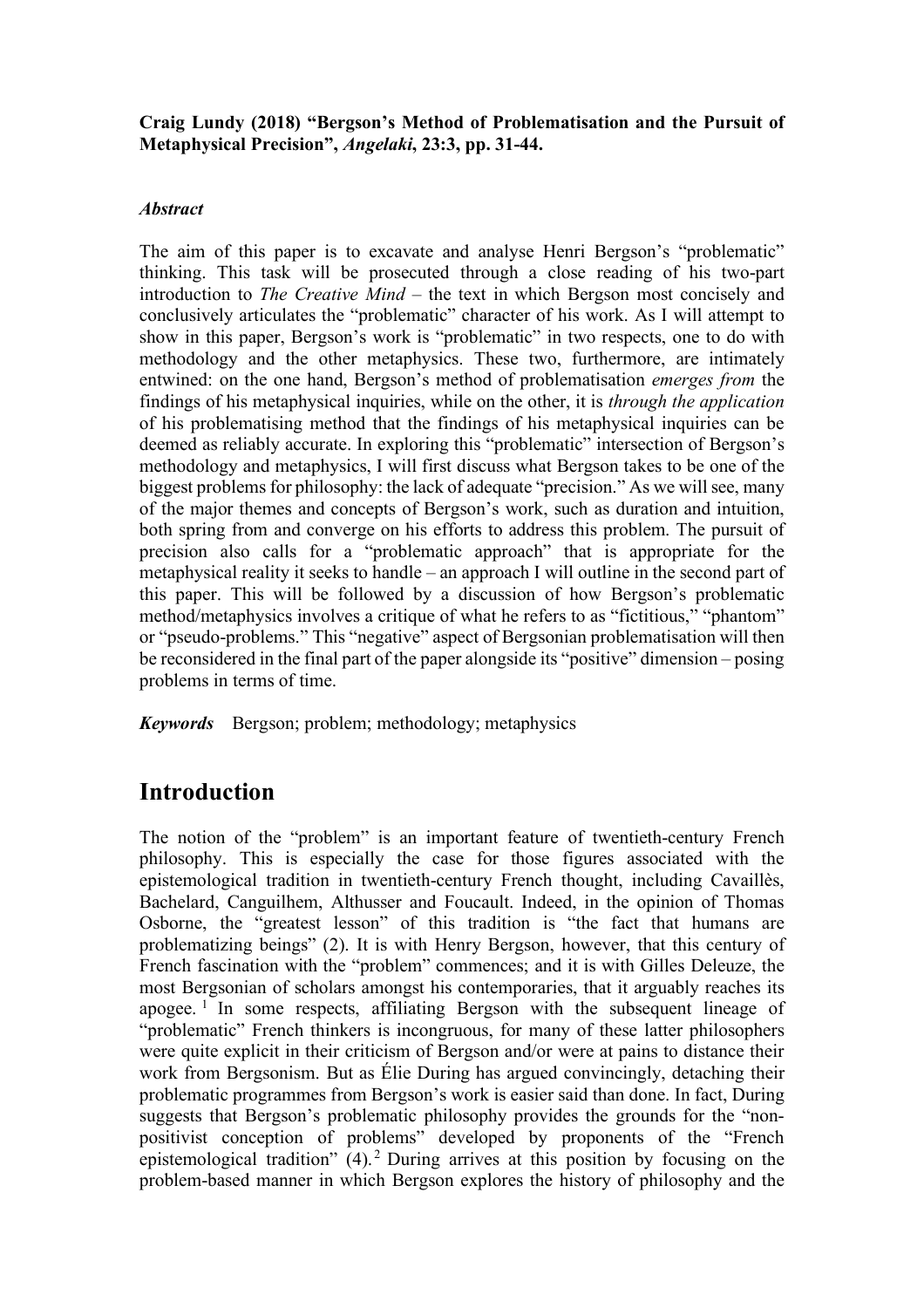#### **Craig Lundy (2018) "Bergson's Method of Problematisation and the Pursuit of Metaphysical Precision",** *Angelaki***, 23:3, pp. 31-44.**

#### *Abstract*

The aim of this paper is to excavate and analyse Henri Bergson's "problematic" thinking. This task will be prosecuted through a close reading of his two-part introduction to *The Creative Mind* – the text in which Bergson most concisely and conclusively articulates the "problematic" character of his work. As I will attempt to show in this paper, Bergson's work is "problematic" in two respects, one to do with methodology and the other metaphysics. These two, furthermore, are intimately entwined: on the one hand, Bergson's method of problematisation *emerges from* the findings of his metaphysical inquiries, while on the other, it is *through the application* of his problematising method that the findings of his metaphysical inquiries can be deemed as reliably accurate. In exploring this "problematic" intersection of Bergson's methodology and metaphysics, I will first discuss what Bergson takes to be one of the biggest problems for philosophy: the lack of adequate "precision." As we will see, many of the major themes and concepts of Bergson's work, such as duration and intuition, both spring from and converge on his efforts to address this problem. The pursuit of precision also calls for a "problematic approach" that is appropriate for the metaphysical reality it seeks to handle – an approach I will outline in the second part of this paper. This will be followed by a discussion of how Bergson's problematic method/metaphysics involves a critique of what he refers to as "fictitious," "phantom" or "pseudo-problems." This "negative" aspect of Bergsonian problematisation will then be reconsidered in the final part of the paper alongside its "positive" dimension – posing problems in terms of time.

*Keywords* Bergson; problem; methodology; metaphysics

# **Introduction**

The notion of the "problem" is an important feature of twentieth-century French philosophy. This is especially the case for those figures associated with the epistemological tradition in twentieth-century French thought, including Cavaillès, Bachelard, Canguilhem, Althusser and Foucault. Indeed, in the opinion of Thomas Osborne, the "greatest lesson" of this tradition is "the fact that humans are problematizing beings" (2). It is with Henry Bergson, however, that this century of French fascination with the "problem" commences; and it is with Gilles Deleuze, the most Bergsonian of scholars amongst his contemporaries, that it arguably reaches its apogee.<sup>1</sup> In some respects, affiliating Bergson with the subsequent lineage of "problematic" French thinkers is incongruous, for many of these latter philosophers were quite explicit in their criticism of Bergson and/or were at pains to distance their work from Bergsonism. But as Élie During has argued convincingly, detaching their problematic programmes from Bergson's work is easier said than done. In fact, During suggests that Bergson's problematic philosophy provides the grounds for the "nonpositivist conception of problems" developed by proponents of the "French epistemological tradition"  $(4)$ .<sup>2</sup> During arrives at this position by focusing on the problem-based manner in which Bergson explores the history of philosophy and the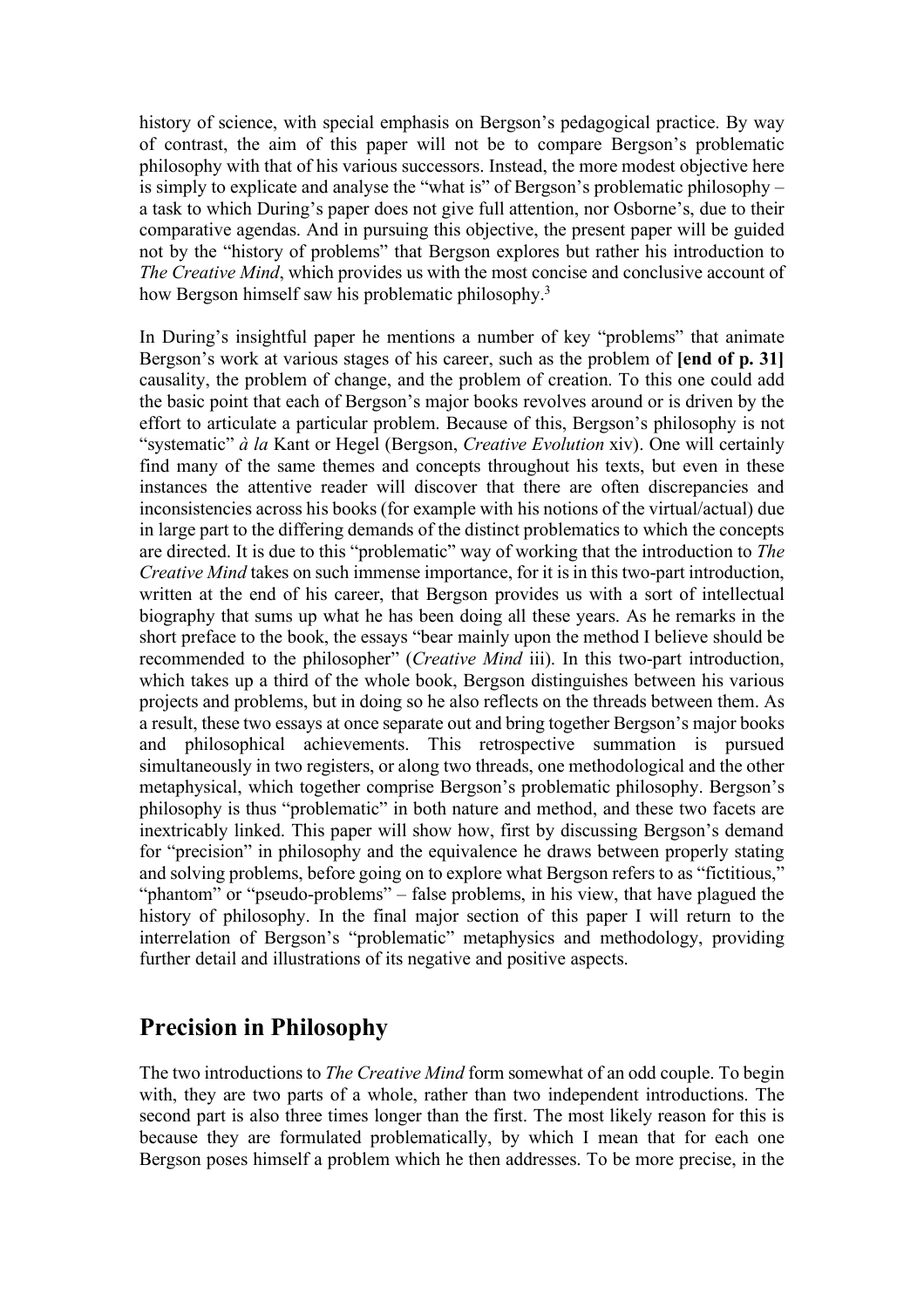history of science, with special emphasis on Bergson's pedagogical practice. By way of contrast, the aim of this paper will not be to compare Bergson's problematic philosophy with that of his various successors. Instead, the more modest objective here is simply to explicate and analyse the "what is" of Bergson's problematic philosophy – a task to which During's paper does not give full attention, nor Osborne's, due to their comparative agendas. And in pursuing this objective, the present paper will be guided not by the "history of problems" that Bergson explores but rather his introduction to *The Creative Mind*, which provides us with the most concise and conclusive account of how Bergson himself saw his problematic philosophy.3

In During's insightful paper he mentions a number of key "problems" that animate Bergson's work at various stages of his career, such as the problem of **[end of p. 31]**  causality, the problem of change, and the problem of creation. To this one could add the basic point that each of Bergson's major books revolves around or is driven by the effort to articulate a particular problem. Because of this, Bergson's philosophy is not "systematic" *à la* Kant or Hegel (Bergson, *Creative Evolution* xiv). One will certainly find many of the same themes and concepts throughout his texts, but even in these instances the attentive reader will discover that there are often discrepancies and inconsistencies across his books (for example with his notions of the virtual/actual) due in large part to the differing demands of the distinct problematics to which the concepts are directed. It is due to this "problematic" way of working that the introduction to *The Creative Mind* takes on such immense importance, for it is in this two-part introduction, written at the end of his career, that Bergson provides us with a sort of intellectual biography that sums up what he has been doing all these years. As he remarks in the short preface to the book, the essays "bear mainly upon the method I believe should be recommended to the philosopher" (*Creative Mind* iii). In this two-part introduction, which takes up a third of the whole book, Bergson distinguishes between his various projects and problems, but in doing so he also reflects on the threads between them. As a result, these two essays at once separate out and bring together Bergson's major books and philosophical achievements. This retrospective summation is pursued simultaneously in two registers, or along two threads, one methodological and the other metaphysical, which together comprise Bergson's problematic philosophy. Bergson's philosophy is thus "problematic" in both nature and method, and these two facets are inextricably linked. This paper will show how, first by discussing Bergson's demand for "precision" in philosophy and the equivalence he draws between properly stating and solving problems, before going on to explore what Bergson refers to as "fictitious," "phantom" or "pseudo-problems" – false problems, in his view, that have plagued the history of philosophy. In the final major section of this paper I will return to the interrelation of Bergson's "problematic" metaphysics and methodology, providing further detail and illustrations of its negative and positive aspects.

## **Precision in Philosophy**

The two introductions to *The Creative Mind* form somewhat of an odd couple. To begin with, they are two parts of a whole, rather than two independent introductions. The second part is also three times longer than the first. The most likely reason for this is because they are formulated problematically, by which I mean that for each one Bergson poses himself a problem which he then addresses. To be more precise, in the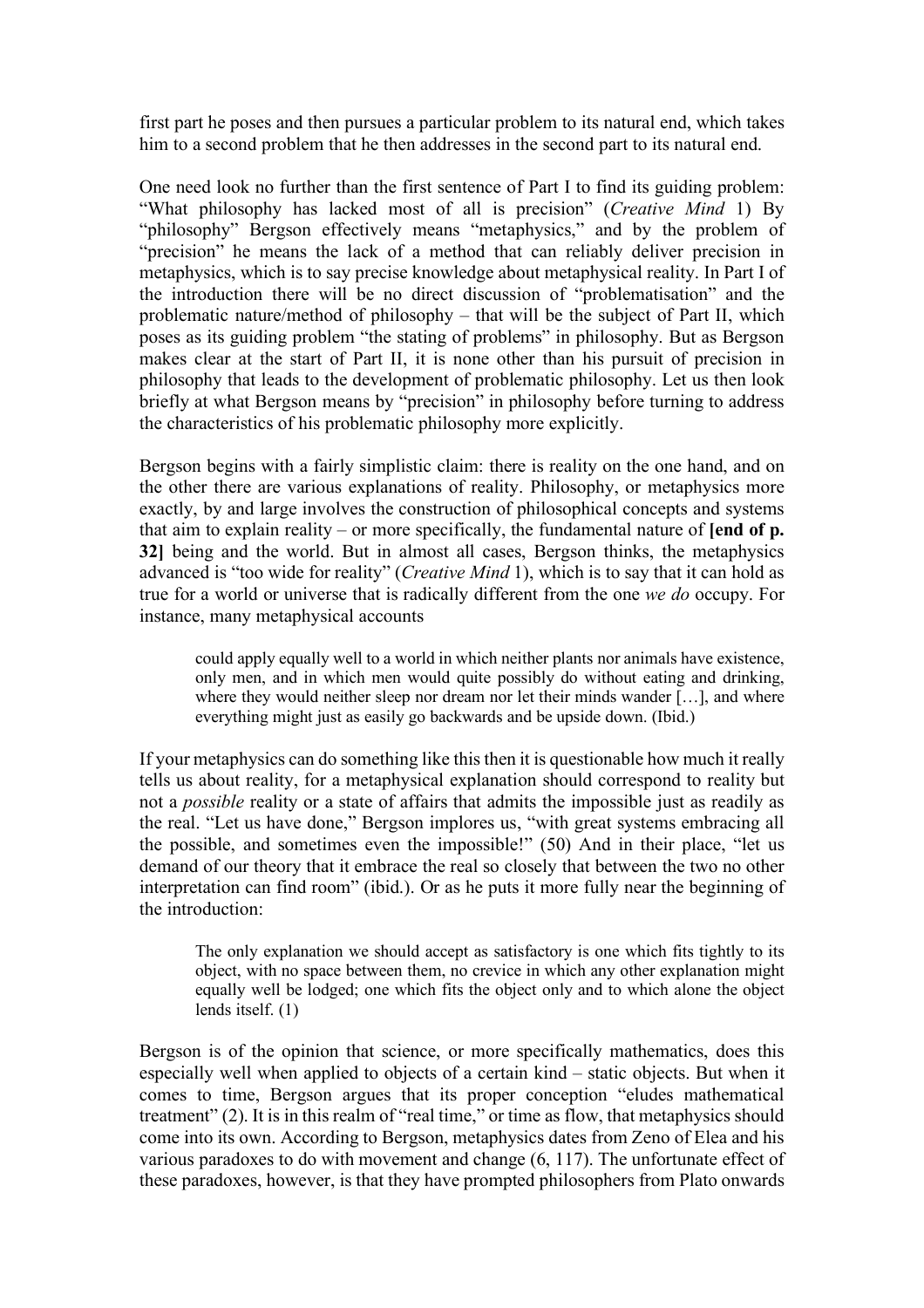first part he poses and then pursues a particular problem to its natural end, which takes him to a second problem that he then addresses in the second part to its natural end.

One need look no further than the first sentence of Part I to find its guiding problem: "What philosophy has lacked most of all is precision" (*Creative Mind* 1) By "philosophy" Bergson effectively means "metaphysics," and by the problem of "precision" he means the lack of a method that can reliably deliver precision in metaphysics, which is to say precise knowledge about metaphysical reality. In Part I of the introduction there will be no direct discussion of "problematisation" and the problematic nature/method of philosophy – that will be the subject of Part II, which poses as its guiding problem "the stating of problems" in philosophy. But as Bergson makes clear at the start of Part II, it is none other than his pursuit of precision in philosophy that leads to the development of problematic philosophy. Let us then look briefly at what Bergson means by "precision" in philosophy before turning to address the characteristics of his problematic philosophy more explicitly.

Bergson begins with a fairly simplistic claim: there is reality on the one hand, and on the other there are various explanations of reality. Philosophy, or metaphysics more exactly, by and large involves the construction of philosophical concepts and systems that aim to explain reality – or more specifically, the fundamental nature of **[end of p. 32]** being and the world. But in almost all cases, Bergson thinks, the metaphysics advanced is "too wide for reality" (*Creative Mind* 1), which is to say that it can hold as true for a world or universe that is radically different from the one *we do* occupy. For instance, many metaphysical accounts

could apply equally well to a world in which neither plants nor animals have existence, only men, and in which men would quite possibly do without eating and drinking, where they would neither sleep nor dream nor let their minds wander [...], and where everything might just as easily go backwards and be upside down. (Ibid.)

If your metaphysics can do something like this then it is questionable how much it really tells us about reality, for a metaphysical explanation should correspond to reality but not a *possible* reality or a state of affairs that admits the impossible just as readily as the real. "Let us have done," Bergson implores us, "with great systems embracing all the possible, and sometimes even the impossible!" (50) And in their place, "let us demand of our theory that it embrace the real so closely that between the two no other interpretation can find room" (ibid.). Or as he puts it more fully near the beginning of the introduction:

The only explanation we should accept as satisfactory is one which fits tightly to its object, with no space between them, no crevice in which any other explanation might equally well be lodged; one which fits the object only and to which alone the object lends itself. (1)

Bergson is of the opinion that science, or more specifically mathematics, does this especially well when applied to objects of a certain kind – static objects. But when it comes to time, Bergson argues that its proper conception "eludes mathematical treatment" (2). It is in this realm of "real time," or time as flow, that metaphysics should come into its own. According to Bergson, metaphysics dates from Zeno of Elea and his various paradoxes to do with movement and change (6, 117). The unfortunate effect of these paradoxes, however, is that they have prompted philosophers from Plato onwards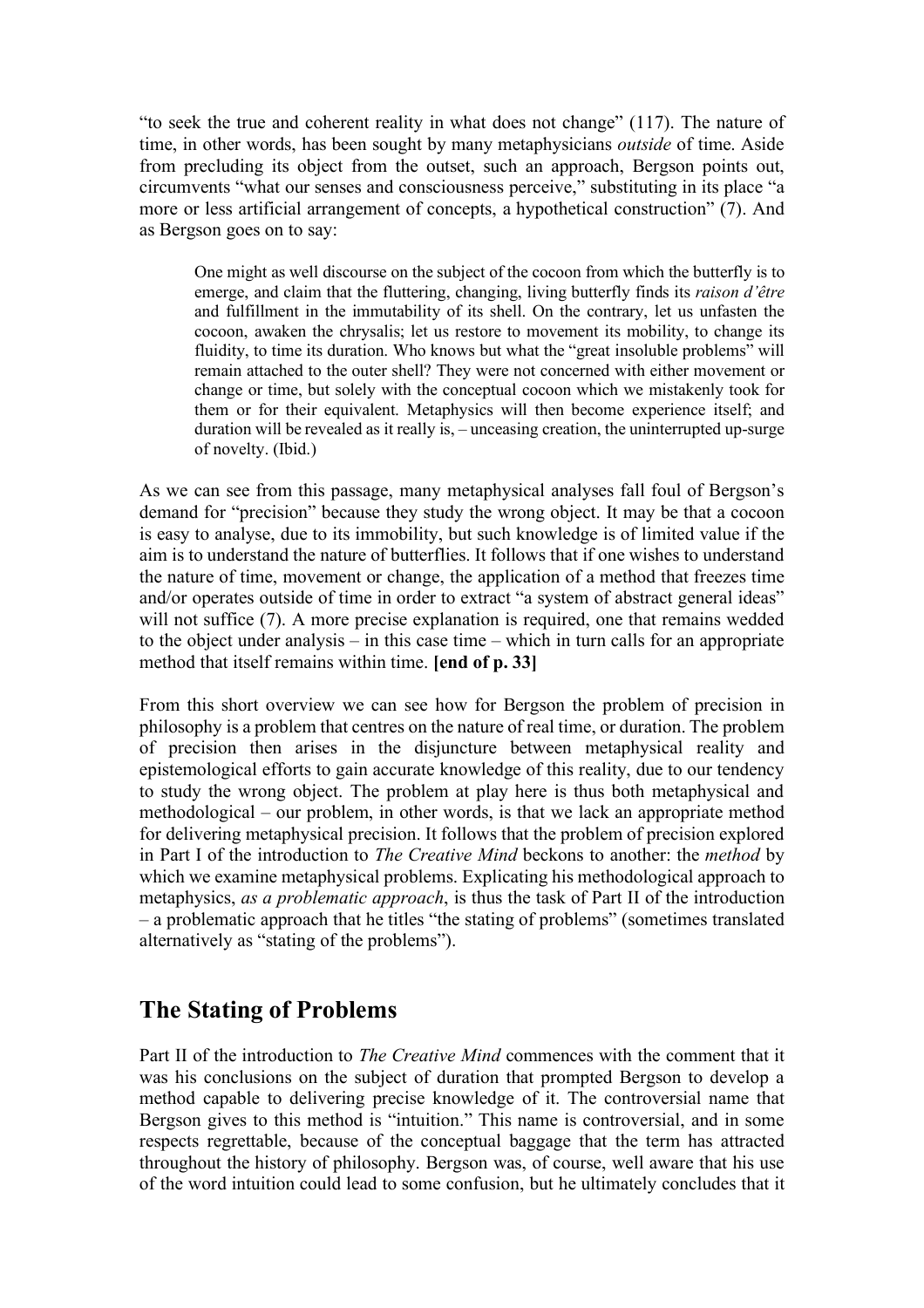"to seek the true and coherent reality in what does not change" (117). The nature of time, in other words, has been sought by many metaphysicians *outside* of time. Aside from precluding its object from the outset, such an approach, Bergson points out, circumvents "what our senses and consciousness perceive," substituting in its place "a more or less artificial arrangement of concepts, a hypothetical construction" (7). And as Bergson goes on to say:

One might as well discourse on the subject of the cocoon from which the butterfly is to emerge, and claim that the fluttering, changing, living butterfly finds its *raison d'être*  and fulfillment in the immutability of its shell. On the contrary, let us unfasten the cocoon, awaken the chrysalis; let us restore to movement its mobility, to change its fluidity, to time its duration. Who knows but what the "great insoluble problems" will remain attached to the outer shell? They were not concerned with either movement or change or time, but solely with the conceptual cocoon which we mistakenly took for them or for their equivalent. Metaphysics will then become experience itself; and duration will be revealed as it really is, – unceasing creation, the uninterrupted up-surge of novelty. (Ibid.)

As we can see from this passage, many metaphysical analyses fall foul of Bergson's demand for "precision" because they study the wrong object. It may be that a cocoon is easy to analyse, due to its immobility, but such knowledge is of limited value if the aim is to understand the nature of butterflies. It follows that if one wishes to understand the nature of time, movement or change, the application of a method that freezes time and/or operates outside of time in order to extract "a system of abstract general ideas" will not suffice (7). A more precise explanation is required, one that remains wedded to the object under analysis – in this case time – which in turn calls for an appropriate method that itself remains within time. **[end of p. 33]**

From this short overview we can see how for Bergson the problem of precision in philosophy is a problem that centres on the nature of real time, or duration. The problem of precision then arises in the disjuncture between metaphysical reality and epistemological efforts to gain accurate knowledge of this reality, due to our tendency to study the wrong object. The problem at play here is thus both metaphysical and methodological – our problem, in other words, is that we lack an appropriate method for delivering metaphysical precision. It follows that the problem of precision explored in Part I of the introduction to *The Creative Mind* beckons to another: the *method* by which we examine metaphysical problems. Explicating his methodological approach to metaphysics, *as a problematic approach*, is thus the task of Part II of the introduction – a problematic approach that he titles "the stating of problems" (sometimes translated alternatively as "stating of the problems").

## **The Stating of Problems**

Part II of the introduction to *The Creative Mind* commences with the comment that it was his conclusions on the subject of duration that prompted Bergson to develop a method capable to delivering precise knowledge of it. The controversial name that Bergson gives to this method is "intuition." This name is controversial, and in some respects regrettable, because of the conceptual baggage that the term has attracted throughout the history of philosophy. Bergson was, of course, well aware that his use of the word intuition could lead to some confusion, but he ultimately concludes that it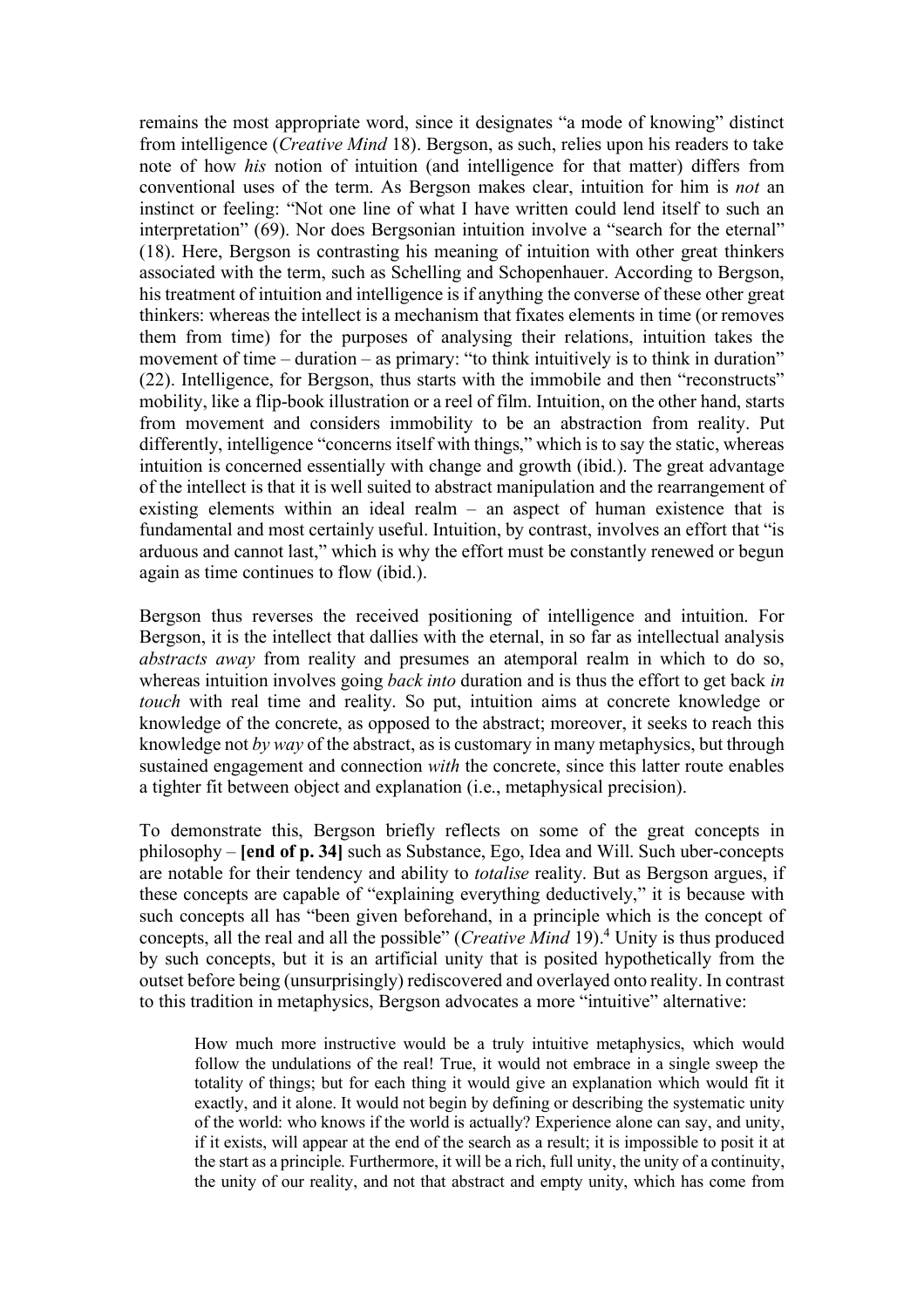remains the most appropriate word, since it designates "a mode of knowing" distinct from intelligence (*Creative Mind* 18). Bergson, as such, relies upon his readers to take note of how *his* notion of intuition (and intelligence for that matter) differs from conventional uses of the term. As Bergson makes clear, intuition for him is *not* an instinct or feeling: "Not one line of what I have written could lend itself to such an interpretation" (69). Nor does Bergsonian intuition involve a "search for the eternal" (18). Here, Bergson is contrasting his meaning of intuition with other great thinkers associated with the term, such as Schelling and Schopenhauer. According to Bergson, his treatment of intuition and intelligence is if anything the converse of these other great thinkers: whereas the intellect is a mechanism that fixates elements in time (or removes them from time) for the purposes of analysing their relations, intuition takes the movement of time – duration – as primary: "to think intuitively is to think in duration" (22). Intelligence, for Bergson, thus starts with the immobile and then "reconstructs" mobility, like a flip-book illustration or a reel of film. Intuition, on the other hand, starts from movement and considers immobility to be an abstraction from reality. Put differently, intelligence "concerns itself with things," which is to say the static, whereas intuition is concerned essentially with change and growth (ibid.). The great advantage of the intellect is that it is well suited to abstract manipulation and the rearrangement of existing elements within an ideal realm – an aspect of human existence that is fundamental and most certainly useful. Intuition, by contrast, involves an effort that "is arduous and cannot last," which is why the effort must be constantly renewed or begun again as time continues to flow (ibid.).

Bergson thus reverses the received positioning of intelligence and intuition. For Bergson, it is the intellect that dallies with the eternal, in so far as intellectual analysis *abstracts away* from reality and presumes an atemporal realm in which to do so, whereas intuition involves going *back into* duration and is thus the effort to get back *in touch* with real time and reality. So put, intuition aims at concrete knowledge or knowledge of the concrete, as opposed to the abstract; moreover, it seeks to reach this knowledge not *by way* of the abstract, as is customary in many metaphysics, but through sustained engagement and connection *with* the concrete, since this latter route enables a tighter fit between object and explanation (i.e., metaphysical precision).

To demonstrate this, Bergson briefly reflects on some of the great concepts in philosophy – **[end of p. 34]** such as Substance, Ego, Idea and Will. Such uber-concepts are notable for their tendency and ability to *totalise* reality. But as Bergson argues, if these concepts are capable of "explaining everything deductively," it is because with such concepts all has "been given beforehand, in a principle which is the concept of concepts, all the real and all the possible" (*Creative Mind* 19).4 Unity is thus produced by such concepts, but it is an artificial unity that is posited hypothetically from the outset before being (unsurprisingly) rediscovered and overlayed onto reality. In contrast to this tradition in metaphysics, Bergson advocates a more "intuitive" alternative:

How much more instructive would be a truly intuitive metaphysics, which would follow the undulations of the real! True, it would not embrace in a single sweep the totality of things; but for each thing it would give an explanation which would fit it exactly, and it alone. It would not begin by defining or describing the systematic unity of the world: who knows if the world is actually? Experience alone can say, and unity, if it exists, will appear at the end of the search as a result; it is impossible to posit it at the start as a principle. Furthermore, it will be a rich, full unity, the unity of a continuity, the unity of our reality, and not that abstract and empty unity, which has come from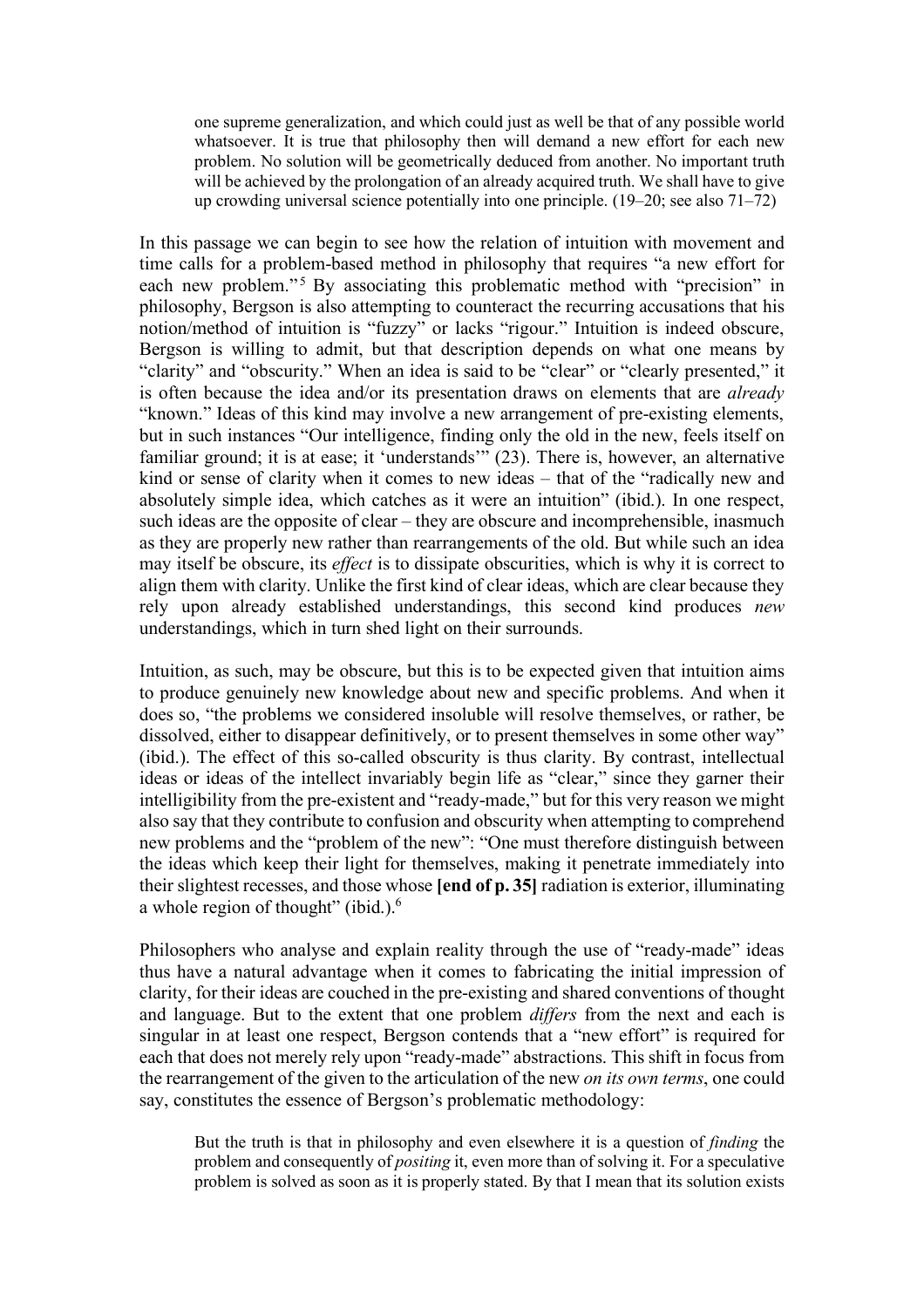one supreme generalization, and which could just as well be that of any possible world whatsoever. It is true that philosophy then will demand a new effort for each new problem. No solution will be geometrically deduced from another. No important truth will be achieved by the prolongation of an already acquired truth. We shall have to give up crowding universal science potentially into one principle. (19–20; see also 71–72)

In this passage we can begin to see how the relation of intuition with movement and time calls for a problem-based method in philosophy that requires "a new effort for each new problem."<sup>5</sup> By associating this problematic method with "precision" in philosophy, Bergson is also attempting to counteract the recurring accusations that his notion/method of intuition is "fuzzy" or lacks "rigour." Intuition is indeed obscure, Bergson is willing to admit, but that description depends on what one means by "clarity" and "obscurity." When an idea is said to be "clear" or "clearly presented," it is often because the idea and/or its presentation draws on elements that are *already* "known." Ideas of this kind may involve a new arrangement of pre-existing elements, but in such instances "Our intelligence, finding only the old in the new, feels itself on familiar ground; it is at ease; it 'understands'" (23). There is, however, an alternative kind or sense of clarity when it comes to new ideas – that of the "radically new and absolutely simple idea, which catches as it were an intuition" (ibid.). In one respect, such ideas are the opposite of clear – they are obscure and incomprehensible, inasmuch as they are properly new rather than rearrangements of the old. But while such an idea may itself be obscure, its *effect* is to dissipate obscurities, which is why it is correct to align them with clarity. Unlike the first kind of clear ideas, which are clear because they rely upon already established understandings, this second kind produces *new* understandings, which in turn shed light on their surrounds.

Intuition, as such, may be obscure, but this is to be expected given that intuition aims to produce genuinely new knowledge about new and specific problems. And when it does so, "the problems we considered insoluble will resolve themselves, or rather, be dissolved, either to disappear definitively, or to present themselves in some other way" (ibid.). The effect of this so-called obscurity is thus clarity. By contrast, intellectual ideas or ideas of the intellect invariably begin life as "clear," since they garner their intelligibility from the pre-existent and "ready-made," but for this very reason we might also say that they contribute to confusion and obscurity when attempting to comprehend new problems and the "problem of the new": "One must therefore distinguish between the ideas which keep their light for themselves, making it penetrate immediately into their slightest recesses, and those whose **[end of p. 35]** radiation is exterior, illuminating a whole region of thought" (ibid.).<sup>6</sup>

Philosophers who analyse and explain reality through the use of "ready-made" ideas thus have a natural advantage when it comes to fabricating the initial impression of clarity, for their ideas are couched in the pre-existing and shared conventions of thought and language. But to the extent that one problem *differs* from the next and each is singular in at least one respect, Bergson contends that a "new effort" is required for each that does not merely rely upon "ready-made" abstractions. This shift in focus from the rearrangement of the given to the articulation of the new *on its own terms*, one could say, constitutes the essence of Bergson's problematic methodology:

But the truth is that in philosophy and even elsewhere it is a question of *finding* the problem and consequently of *positing* it, even more than of solving it. For a speculative problem is solved as soon as it is properly stated. By that I mean that its solution exists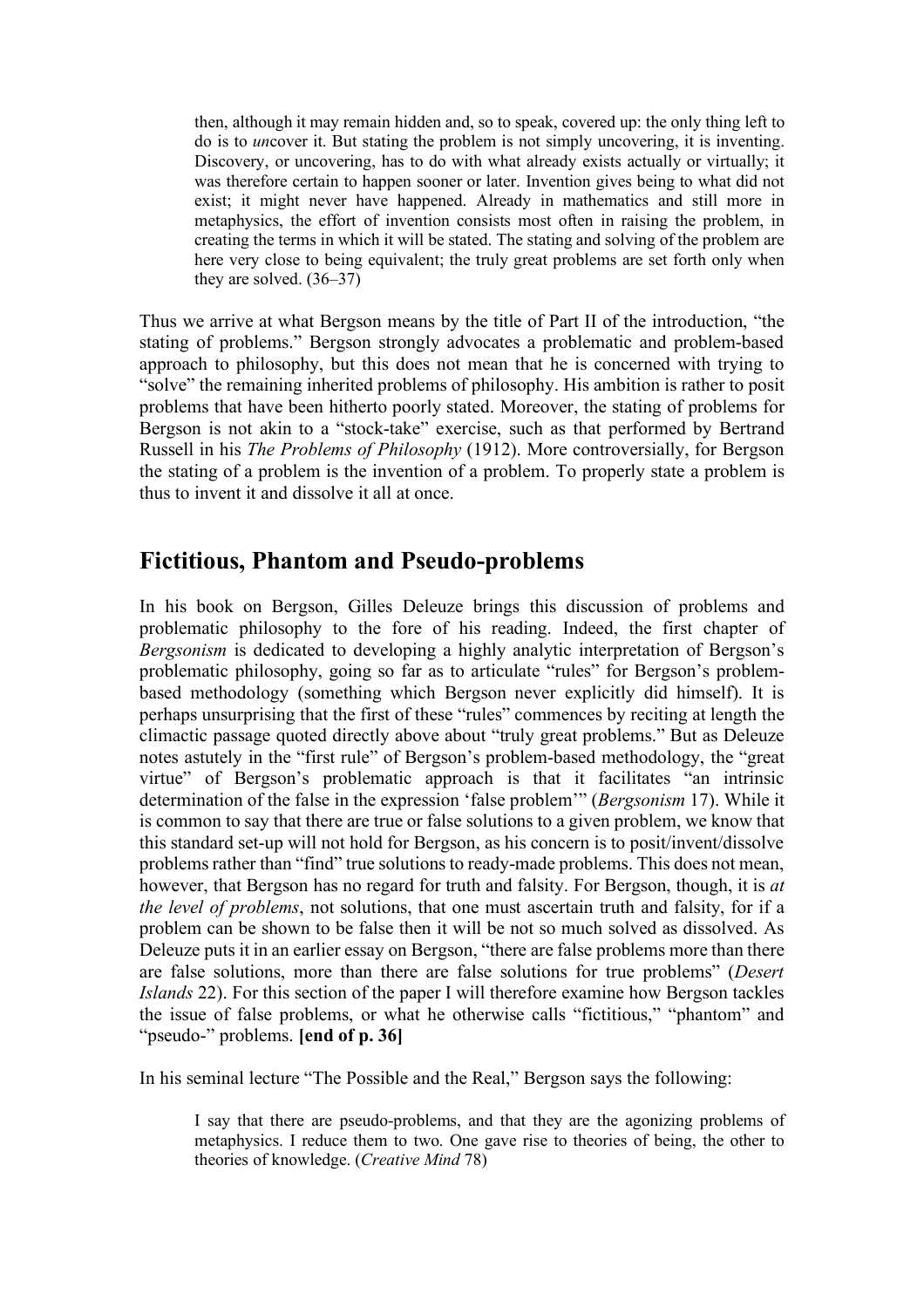then, although it may remain hidden and, so to speak, covered up: the only thing left to do is to *un*cover it. But stating the problem is not simply uncovering, it is inventing. Discovery, or uncovering, has to do with what already exists actually or virtually; it was therefore certain to happen sooner or later. Invention gives being to what did not exist; it might never have happened. Already in mathematics and still more in metaphysics, the effort of invention consists most often in raising the problem, in creating the terms in which it will be stated. The stating and solving of the problem are here very close to being equivalent; the truly great problems are set forth only when they are solved. (36–37)

Thus we arrive at what Bergson means by the title of Part II of the introduction, "the stating of problems." Bergson strongly advocates a problematic and problem-based approach to philosophy, but this does not mean that he is concerned with trying to "solve" the remaining inherited problems of philosophy. His ambition is rather to posit problems that have been hitherto poorly stated. Moreover, the stating of problems for Bergson is not akin to a "stock-take" exercise, such as that performed by Bertrand Russell in his *The Problems of Philosophy* (1912). More controversially, for Bergson the stating of a problem is the invention of a problem. To properly state a problem is thus to invent it and dissolve it all at once.

### **Fictitious, Phantom and Pseudo-problems**

In his book on Bergson, Gilles Deleuze brings this discussion of problems and problematic philosophy to the fore of his reading. Indeed, the first chapter of *Bergsonism* is dedicated to developing a highly analytic interpretation of Bergson's problematic philosophy, going so far as to articulate "rules" for Bergson's problembased methodology (something which Bergson never explicitly did himself). It is perhaps unsurprising that the first of these "rules" commences by reciting at length the climactic passage quoted directly above about "truly great problems." But as Deleuze notes astutely in the "first rule" of Bergson's problem-based methodology, the "great virtue" of Bergson's problematic approach is that it facilitates "an intrinsic determination of the false in the expression 'false problem'" (*Bergsonism* 17). While it is common to say that there are true or false solutions to a given problem, we know that this standard set-up will not hold for Bergson, as his concern is to posit/invent/dissolve problems rather than "find" true solutions to ready-made problems. This does not mean, however, that Bergson has no regard for truth and falsity. For Bergson, though, it is *at the level of problems*, not solutions, that one must ascertain truth and falsity, for if a problem can be shown to be false then it will be not so much solved as dissolved. As Deleuze puts it in an earlier essay on Bergson, "there are false problems more than there are false solutions, more than there are false solutions for true problems" (*Desert Islands* 22). For this section of the paper I will therefore examine how Bergson tackles the issue of false problems, or what he otherwise calls "fictitious," "phantom" and "pseudo-" problems. **[end of p. 36]**

In his seminal lecture "The Possible and the Real," Bergson says the following:

I say that there are pseudo-problems, and that they are the agonizing problems of metaphysics. I reduce them to two. One gave rise to theories of being, the other to theories of knowledge. (*Creative Mind* 78)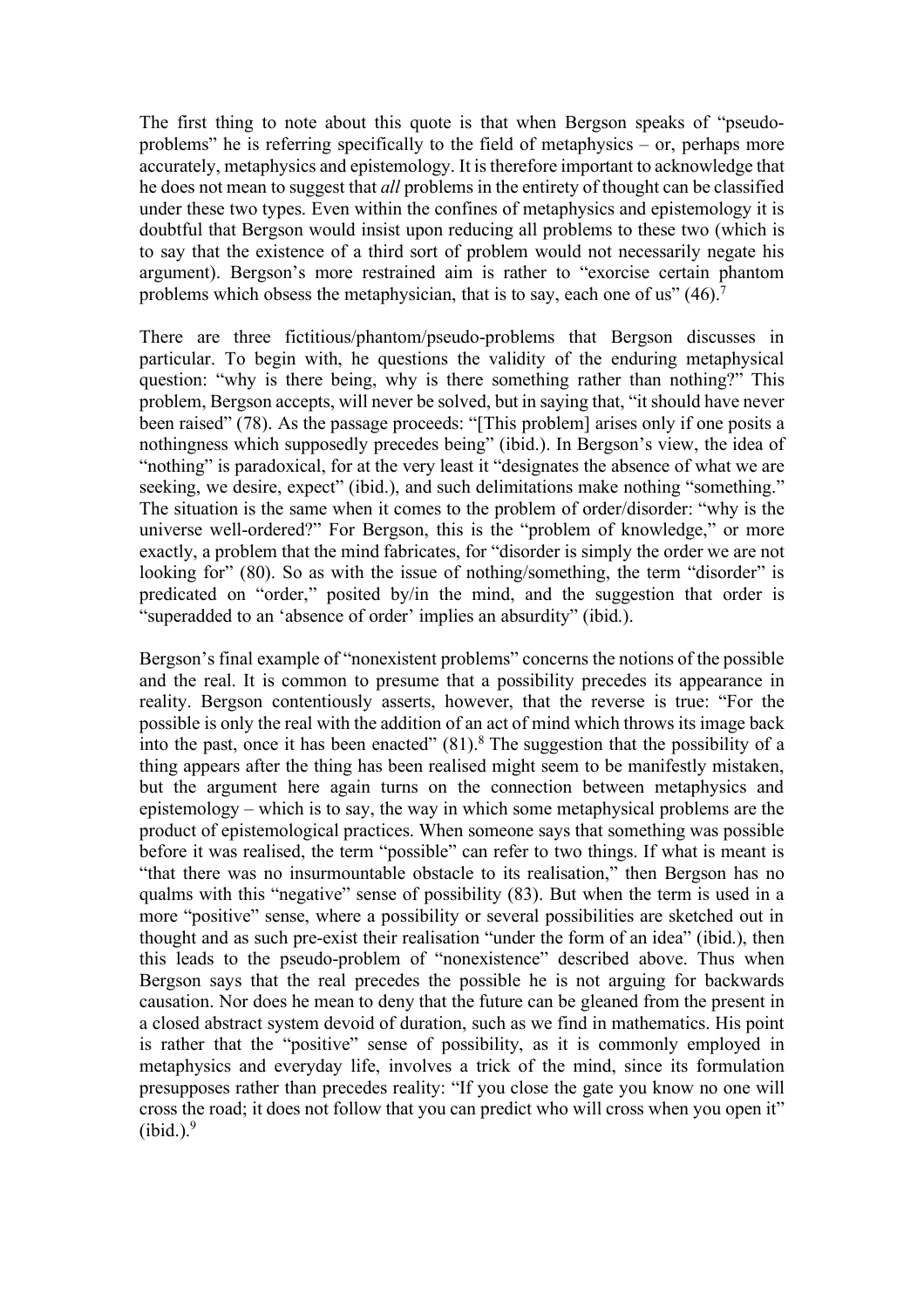The first thing to note about this quote is that when Bergson speaks of "pseudoproblems" he is referring specifically to the field of metaphysics – or, perhaps more accurately, metaphysics and epistemology. It is therefore important to acknowledge that he does not mean to suggest that *all* problems in the entirety of thought can be classified under these two types. Even within the confines of metaphysics and epistemology it is doubtful that Bergson would insist upon reducing all problems to these two (which is to say that the existence of a third sort of problem would not necessarily negate his argument). Bergson's more restrained aim is rather to "exorcise certain phantom problems which obsess the metaphysician, that is to say, each one of us" (46).<sup>7</sup>

There are three fictitious/phantom/pseudo-problems that Bergson discusses in particular. To begin with, he questions the validity of the enduring metaphysical question: "why is there being, why is there something rather than nothing?" This problem, Bergson accepts, will never be solved, but in saying that, "it should have never been raised" (78). As the passage proceeds: "[This problem] arises only if one posits a nothingness which supposedly precedes being" (ibid.). In Bergson's view, the idea of "nothing" is paradoxical, for at the very least it "designates the absence of what we are seeking, we desire, expect" (ibid.), and such delimitations make nothing "something." The situation is the same when it comes to the problem of order/disorder: "why is the universe well-ordered?" For Bergson, this is the "problem of knowledge," or more exactly, a problem that the mind fabricates, for "disorder is simply the order we are not looking for" (80). So as with the issue of nothing/something, the term "disorder" is predicated on "order," posited by/in the mind, and the suggestion that order is "superadded to an 'absence of order' implies an absurdity" (ibid.).

Bergson's final example of "nonexistent problems" concerns the notions of the possible and the real. It is common to presume that a possibility precedes its appearance in reality. Bergson contentiously asserts, however, that the reverse is true: "For the possible is only the real with the addition of an act of mind which throws its image back into the past, once it has been enacted"  $(81)$ .<sup>8</sup> The suggestion that the possibility of a thing appears after the thing has been realised might seem to be manifestly mistaken, but the argument here again turns on the connection between metaphysics and epistemology – which is to say, the way in which some metaphysical problems are the product of epistemological practices. When someone says that something was possible before it was realised, the term "possible" can refer to two things. If what is meant is "that there was no insurmountable obstacle to its realisation," then Bergson has no qualms with this "negative" sense of possibility (83). But when the term is used in a more "positive" sense, where a possibility or several possibilities are sketched out in thought and as such pre-exist their realisation "under the form of an idea" (ibid.), then this leads to the pseudo-problem of "nonexistence" described above. Thus when Bergson says that the real precedes the possible he is not arguing for backwards causation. Nor does he mean to deny that the future can be gleaned from the present in a closed abstract system devoid of duration, such as we find in mathematics. His point is rather that the "positive" sense of possibility, as it is commonly employed in metaphysics and everyday life, involves a trick of the mind, since its formulation presupposes rather than precedes reality: "If you close the gate you know no one will cross the road; it does not follow that you can predict who will cross when you open it"  $(ibid.)$ .<sup>9</sup>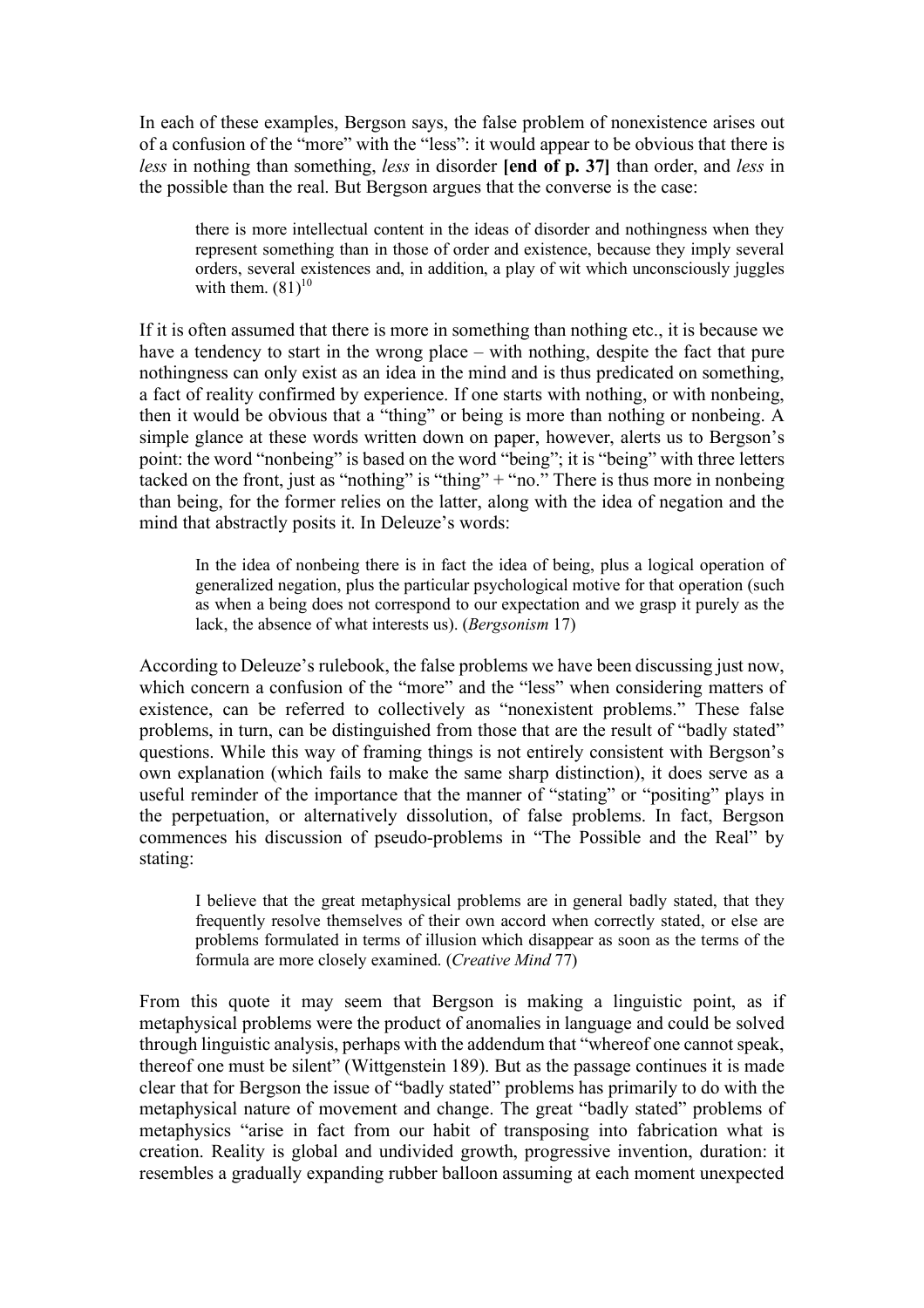In each of these examples, Bergson says, the false problem of nonexistence arises out of a confusion of the "more" with the "less": it would appear to be obvious that there is *less* in nothing than something, *less* in disorder **[end of p. 37]** than order, and *less* in the possible than the real. But Bergson argues that the converse is the case:

there is more intellectual content in the ideas of disorder and nothingness when they represent something than in those of order and existence, because they imply several orders, several existences and, in addition, a play of wit which unconsciously juggles with them.  $(81)^{10}$ 

If it is often assumed that there is more in something than nothing etc., it is because we have a tendency to start in the wrong place – with nothing, despite the fact that pure nothingness can only exist as an idea in the mind and is thus predicated on something, a fact of reality confirmed by experience. If one starts with nothing, or with nonbeing, then it would be obvious that a "thing" or being is more than nothing or nonbeing. A simple glance at these words written down on paper, however, alerts us to Bergson's point: the word "nonbeing" is based on the word "being"; it is "being" with three letters tacked on the front, just as "nothing" is "thing" + "no." There is thus more in nonbeing than being, for the former relies on the latter, along with the idea of negation and the mind that abstractly posits it. In Deleuze's words:

In the idea of nonbeing there is in fact the idea of being, plus a logical operation of generalized negation, plus the particular psychological motive for that operation (such as when a being does not correspond to our expectation and we grasp it purely as the lack, the absence of what interests us). (*Bergsonism* 17)

According to Deleuze's rulebook, the false problems we have been discussing just now, which concern a confusion of the "more" and the "less" when considering matters of existence, can be referred to collectively as "nonexistent problems." These false problems, in turn, can be distinguished from those that are the result of "badly stated" questions. While this way of framing things is not entirely consistent with Bergson's own explanation (which fails to make the same sharp distinction), it does serve as a useful reminder of the importance that the manner of "stating" or "positing" plays in the perpetuation, or alternatively dissolution, of false problems. In fact, Bergson commences his discussion of pseudo-problems in "The Possible and the Real" by stating:

I believe that the great metaphysical problems are in general badly stated, that they frequently resolve themselves of their own accord when correctly stated, or else are problems formulated in terms of illusion which disappear as soon as the terms of the formula are more closely examined. (*Creative Mind* 77)

From this quote it may seem that Bergson is making a linguistic point, as if metaphysical problems were the product of anomalies in language and could be solved through linguistic analysis, perhaps with the addendum that "whereof one cannot speak, thereof one must be silent" (Wittgenstein 189). But as the passage continues it is made clear that for Bergson the issue of "badly stated" problems has primarily to do with the metaphysical nature of movement and change. The great "badly stated" problems of metaphysics "arise in fact from our habit of transposing into fabrication what is creation. Reality is global and undivided growth, progressive invention, duration: it resembles a gradually expanding rubber balloon assuming at each moment unexpected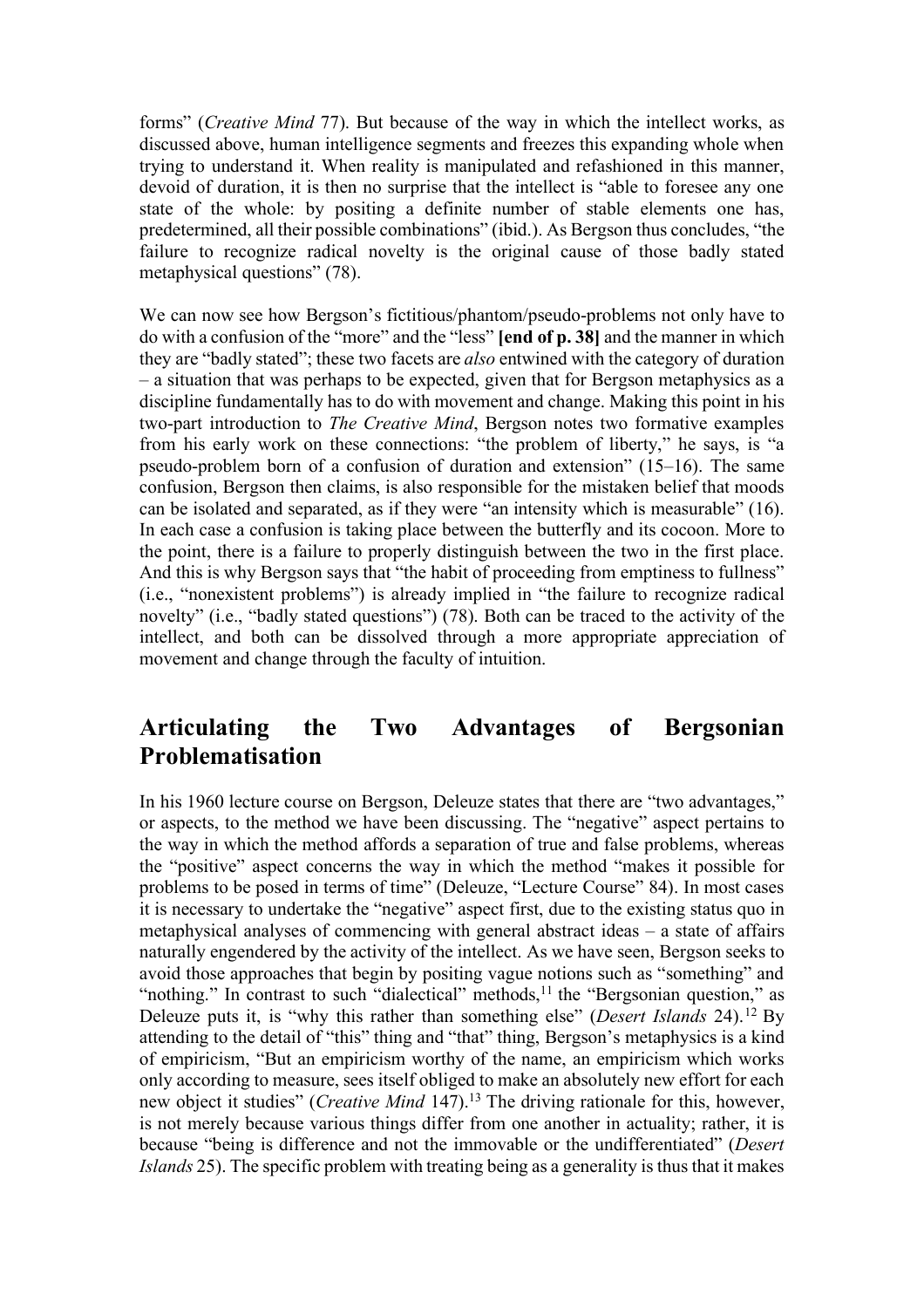forms" (*Creative Mind* 77). But because of the way in which the intellect works, as discussed above, human intelligence segments and freezes this expanding whole when trying to understand it. When reality is manipulated and refashioned in this manner, devoid of duration, it is then no surprise that the intellect is "able to foresee any one state of the whole: by positing a definite number of stable elements one has, predetermined, all their possible combinations" (ibid.). As Bergson thus concludes, "the failure to recognize radical novelty is the original cause of those badly stated metaphysical questions" (78).

We can now see how Bergson's fictitious/phantom/pseudo-problems not only have to do with a confusion of the "more" and the "less" **[end of p. 38]** and the manner in which they are "badly stated"; these two facets are *also* entwined with the category of duration – a situation that was perhaps to be expected, given that for Bergson metaphysics as a discipline fundamentally has to do with movement and change. Making this point in his two-part introduction to *The Creative Mind*, Bergson notes two formative examples from his early work on these connections: "the problem of liberty," he says, is "a pseudo-problem born of a confusion of duration and extension" (15–16). The same confusion, Bergson then claims, is also responsible for the mistaken belief that moods can be isolated and separated, as if they were "an intensity which is measurable" (16). In each case a confusion is taking place between the butterfly and its cocoon. More to the point, there is a failure to properly distinguish between the two in the first place. And this is why Bergson says that "the habit of proceeding from emptiness to fullness" (i.e., "nonexistent problems") is already implied in "the failure to recognize radical novelty" (i.e., "badly stated questions") (78). Both can be traced to the activity of the intellect, and both can be dissolved through a more appropriate appreciation of movement and change through the faculty of intuition.

## **Articulating the Two Advantages of Bergsonian Problematisation**

In his 1960 lecture course on Bergson, Deleuze states that there are "two advantages," or aspects, to the method we have been discussing. The "negative" aspect pertains to the way in which the method affords a separation of true and false problems, whereas the "positive" aspect concerns the way in which the method "makes it possible for problems to be posed in terms of time" (Deleuze, "Lecture Course" 84). In most cases it is necessary to undertake the "negative" aspect first, due to the existing status quo in metaphysical analyses of commencing with general abstract ideas – a state of affairs naturally engendered by the activity of the intellect. As we have seen, Bergson seeks to avoid those approaches that begin by positing vague notions such as "something" and "nothing." In contrast to such "dialectical" methods,  $\frac{1}{1}$  the "Bergsonian question," as Deleuze puts it, is "why this rather than something else" (*Desert Islands* 24).12 By attending to the detail of "this" thing and "that" thing, Bergson's metaphysics is a kind of empiricism, "But an empiricism worthy of the name, an empiricism which works only according to measure, sees itself obliged to make an absolutely new effort for each new object it studies" (*Creative Mind* 147).<sup>13</sup> The driving rationale for this, however, is not merely because various things differ from one another in actuality; rather, it is because "being is difference and not the immovable or the undifferentiated" (*Desert Islands* 25). The specific problem with treating being as a generality is thus that it makes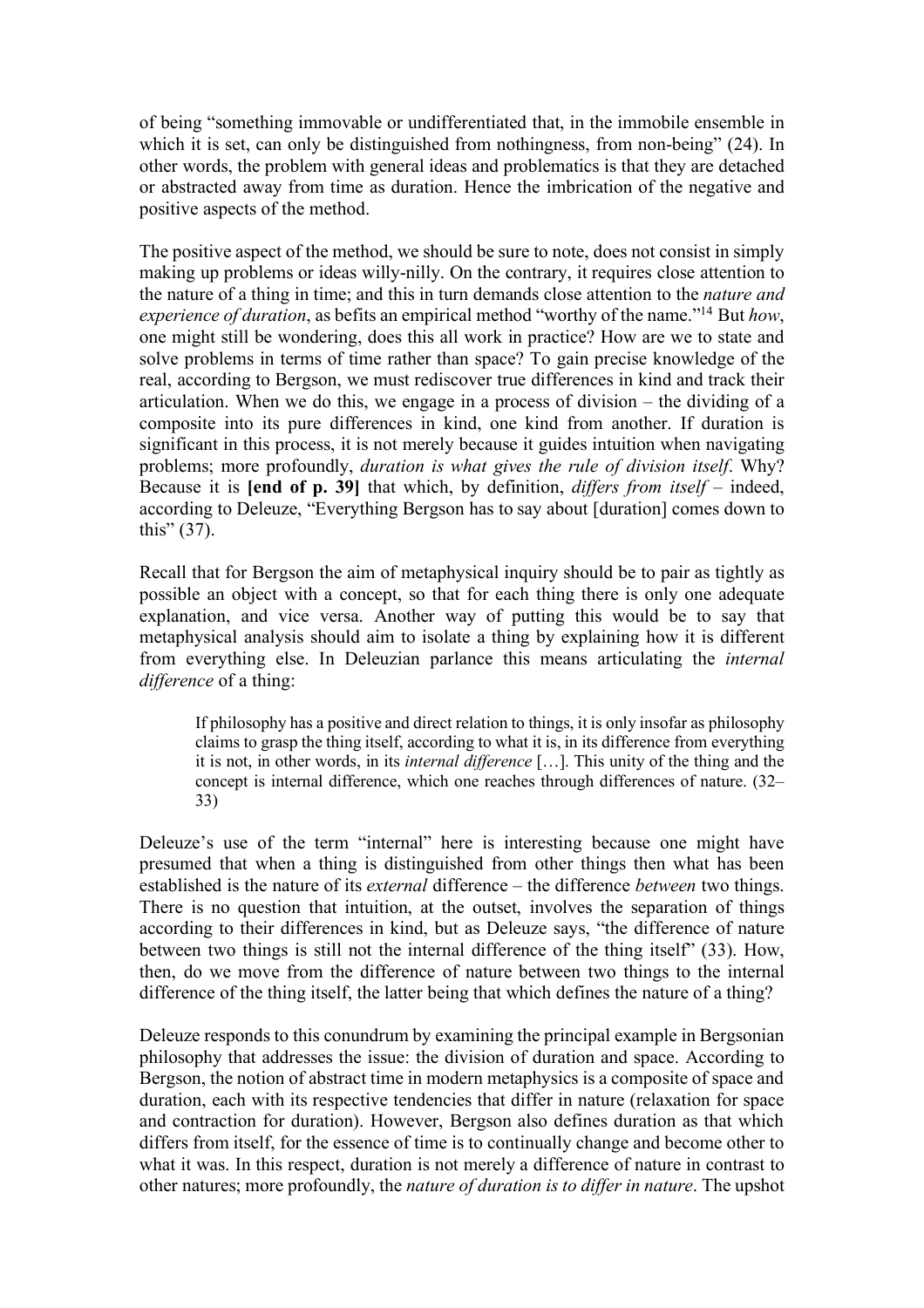of being "something immovable or undifferentiated that, in the immobile ensemble in which it is set, can only be distinguished from nothingness, from non-being" (24). In other words, the problem with general ideas and problematics is that they are detached or abstracted away from time as duration. Hence the imbrication of the negative and positive aspects of the method.

The positive aspect of the method, we should be sure to note, does not consist in simply making up problems or ideas willy-nilly. On the contrary, it requires close attention to the nature of a thing in time; and this in turn demands close attention to the *nature and experience of duration*, as befits an empirical method "worthy of the name."14 But *how*, one might still be wondering, does this all work in practice? How are we to state and solve problems in terms of time rather than space? To gain precise knowledge of the real, according to Bergson, we must rediscover true differences in kind and track their articulation. When we do this, we engage in a process of division – the dividing of a composite into its pure differences in kind, one kind from another. If duration is significant in this process, it is not merely because it guides intuition when navigating problems; more profoundly, *duration is what gives the rule of division itself*. Why? Because it is **[end of p. 39]** that which, by definition, *differs from itself* – indeed, according to Deleuze, "Everything Bergson has to say about [duration] comes down to this" (37).

Recall that for Bergson the aim of metaphysical inquiry should be to pair as tightly as possible an object with a concept, so that for each thing there is only one adequate explanation, and vice versa. Another way of putting this would be to say that metaphysical analysis should aim to isolate a thing by explaining how it is different from everything else. In Deleuzian parlance this means articulating the *internal difference* of a thing:

If philosophy has a positive and direct relation to things, it is only insofar as philosophy claims to grasp the thing itself, according to what it is, in its difference from everything it is not, in other words, in its *internal difference* […]. This unity of the thing and the concept is internal difference, which one reaches through differences of nature. (32– 33)

Deleuze's use of the term "internal" here is interesting because one might have presumed that when a thing is distinguished from other things then what has been established is the nature of its *external* difference – the difference *between* two things. There is no question that intuition, at the outset, involves the separation of things according to their differences in kind, but as Deleuze says, "the difference of nature between two things is still not the internal difference of the thing itself" (33). How, then, do we move from the difference of nature between two things to the internal difference of the thing itself, the latter being that which defines the nature of a thing?

Deleuze responds to this conundrum by examining the principal example in Bergsonian philosophy that addresses the issue: the division of duration and space. According to Bergson, the notion of abstract time in modern metaphysics is a composite of space and duration, each with its respective tendencies that differ in nature (relaxation for space and contraction for duration). However, Bergson also defines duration as that which differs from itself, for the essence of time is to continually change and become other to what it was. In this respect, duration is not merely a difference of nature in contrast to other natures; more profoundly, the *nature of duration is to differ in nature*. The upshot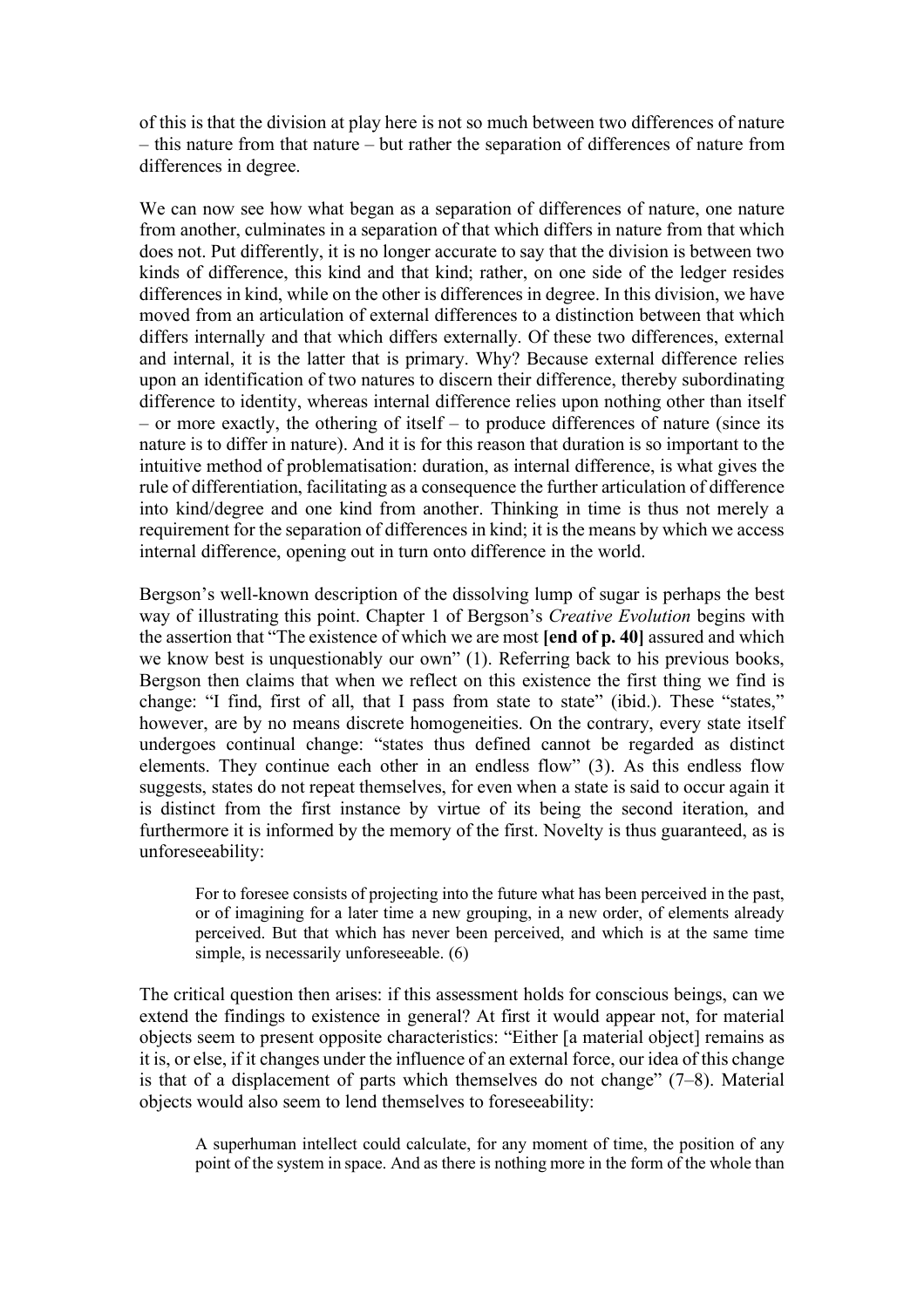of this is that the division at play here is not so much between two differences of nature – this nature from that nature – but rather the separation of differences of nature from differences in degree.

We can now see how what began as a separation of differences of nature, one nature from another, culminates in a separation of that which differs in nature from that which does not. Put differently, it is no longer accurate to say that the division is between two kinds of difference, this kind and that kind; rather, on one side of the ledger resides differences in kind, while on the other is differences in degree. In this division, we have moved from an articulation of external differences to a distinction between that which differs internally and that which differs externally. Of these two differences, external and internal, it is the latter that is primary. Why? Because external difference relies upon an identification of two natures to discern their difference, thereby subordinating difference to identity, whereas internal difference relies upon nothing other than itself – or more exactly, the othering of itself – to produce differences of nature (since its nature is to differ in nature). And it is for this reason that duration is so important to the intuitive method of problematisation: duration, as internal difference, is what gives the rule of differentiation, facilitating as a consequence the further articulation of difference into kind/degree and one kind from another. Thinking in time is thus not merely a requirement for the separation of differences in kind; it is the means by which we access internal difference, opening out in turn onto difference in the world.

Bergson's well-known description of the dissolving lump of sugar is perhaps the best way of illustrating this point. Chapter 1 of Bergson's *Creative Evolution* begins with the assertion that "The existence of which we are most **[end of p. 40]** assured and which we know best is unquestionably our own" (1). Referring back to his previous books, Bergson then claims that when we reflect on this existence the first thing we find is change: "I find, first of all, that I pass from state to state" (ibid.). These "states," however, are by no means discrete homogeneities. On the contrary, every state itself undergoes continual change: "states thus defined cannot be regarded as distinct elements. They continue each other in an endless flow" (3). As this endless flow suggests, states do not repeat themselves, for even when a state is said to occur again it is distinct from the first instance by virtue of its being the second iteration, and furthermore it is informed by the memory of the first. Novelty is thus guaranteed, as is unforeseeability:

For to foresee consists of projecting into the future what has been perceived in the past, or of imagining for a later time a new grouping, in a new order, of elements already perceived. But that which has never been perceived, and which is at the same time simple, is necessarily unforeseeable. (6)

The critical question then arises: if this assessment holds for conscious beings, can we extend the findings to existence in general? At first it would appear not, for material objects seem to present opposite characteristics: "Either [a material object] remains as it is, or else, if it changes under the influence of an external force, our idea of this change is that of a displacement of parts which themselves do not change" (7–8). Material objects would also seem to lend themselves to foreseeability:

A superhuman intellect could calculate, for any moment of time, the position of any point of the system in space. And as there is nothing more in the form of the whole than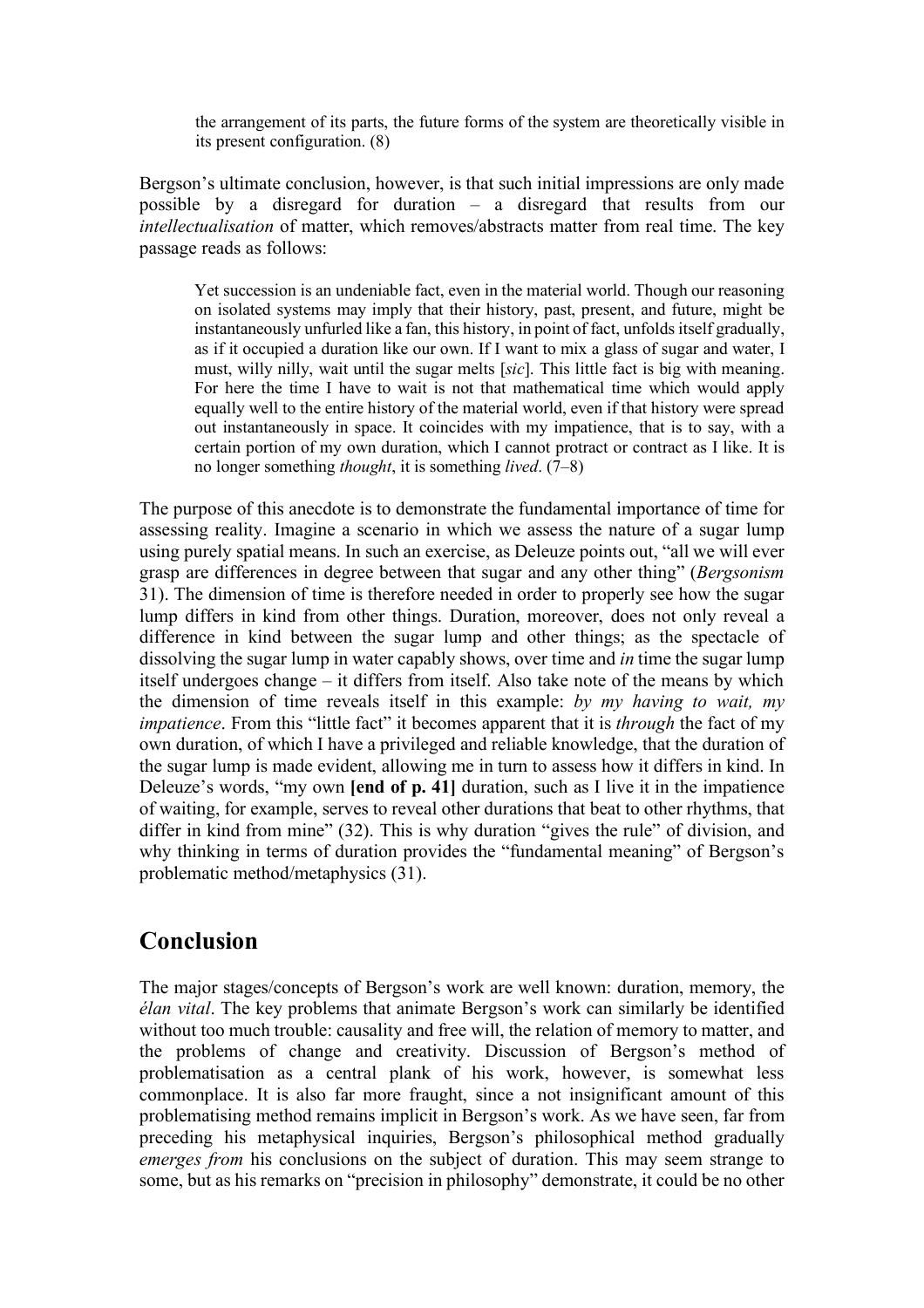the arrangement of its parts, the future forms of the system are theoretically visible in its present configuration. (8)

Bergson's ultimate conclusion, however, is that such initial impressions are only made possible by a disregard for duration – a disregard that results from our *intellectualisation* of matter, which removes/abstracts matter from real time. The key passage reads as follows:

Yet succession is an undeniable fact, even in the material world. Though our reasoning on isolated systems may imply that their history, past, present, and future, might be instantaneously unfurled like a fan, this history, in point of fact, unfolds itself gradually, as if it occupied a duration like our own. If I want to mix a glass of sugar and water, I must, willy nilly, wait until the sugar melts [*sic*]. This little fact is big with meaning. For here the time I have to wait is not that mathematical time which would apply equally well to the entire history of the material world, even if that history were spread out instantaneously in space. It coincides with my impatience, that is to say, with a certain portion of my own duration, which I cannot protract or contract as I like. It is no longer something *thought*, it is something *lived*. (7–8)

The purpose of this anecdote is to demonstrate the fundamental importance of time for assessing reality. Imagine a scenario in which we assess the nature of a sugar lump using purely spatial means. In such an exercise, as Deleuze points out, "all we will ever grasp are differences in degree between that sugar and any other thing" (*Bergsonism* 31). The dimension of time is therefore needed in order to properly see how the sugar lump differs in kind from other things. Duration, moreover, does not only reveal a difference in kind between the sugar lump and other things; as the spectacle of dissolving the sugar lump in water capably shows, over time and *in* time the sugar lump itself undergoes change – it differs from itself. Also take note of the means by which the dimension of time reveals itself in this example: *by my having to wait, my impatience*. From this "little fact" it becomes apparent that it is *through* the fact of my own duration, of which I have a privileged and reliable knowledge, that the duration of the sugar lump is made evident, allowing me in turn to assess how it differs in kind. In Deleuze's words, "my own **[end of p. 41]** duration, such as I live it in the impatience of waiting, for example, serves to reveal other durations that beat to other rhythms, that differ in kind from mine" (32). This is why duration "gives the rule" of division, and why thinking in terms of duration provides the "fundamental meaning" of Bergson's problematic method/metaphysics (31).

## **Conclusion**

The major stages/concepts of Bergson's work are well known: duration, memory, the *élan vital*. The key problems that animate Bergson's work can similarly be identified without too much trouble: causality and free will, the relation of memory to matter, and the problems of change and creativity. Discussion of Bergson's method of problematisation as a central plank of his work, however, is somewhat less commonplace. It is also far more fraught, since a not insignificant amount of this problematising method remains implicit in Bergson's work. As we have seen, far from preceding his metaphysical inquiries, Bergson's philosophical method gradually *emerges from* his conclusions on the subject of duration. This may seem strange to some, but as his remarks on "precision in philosophy" demonstrate, it could be no other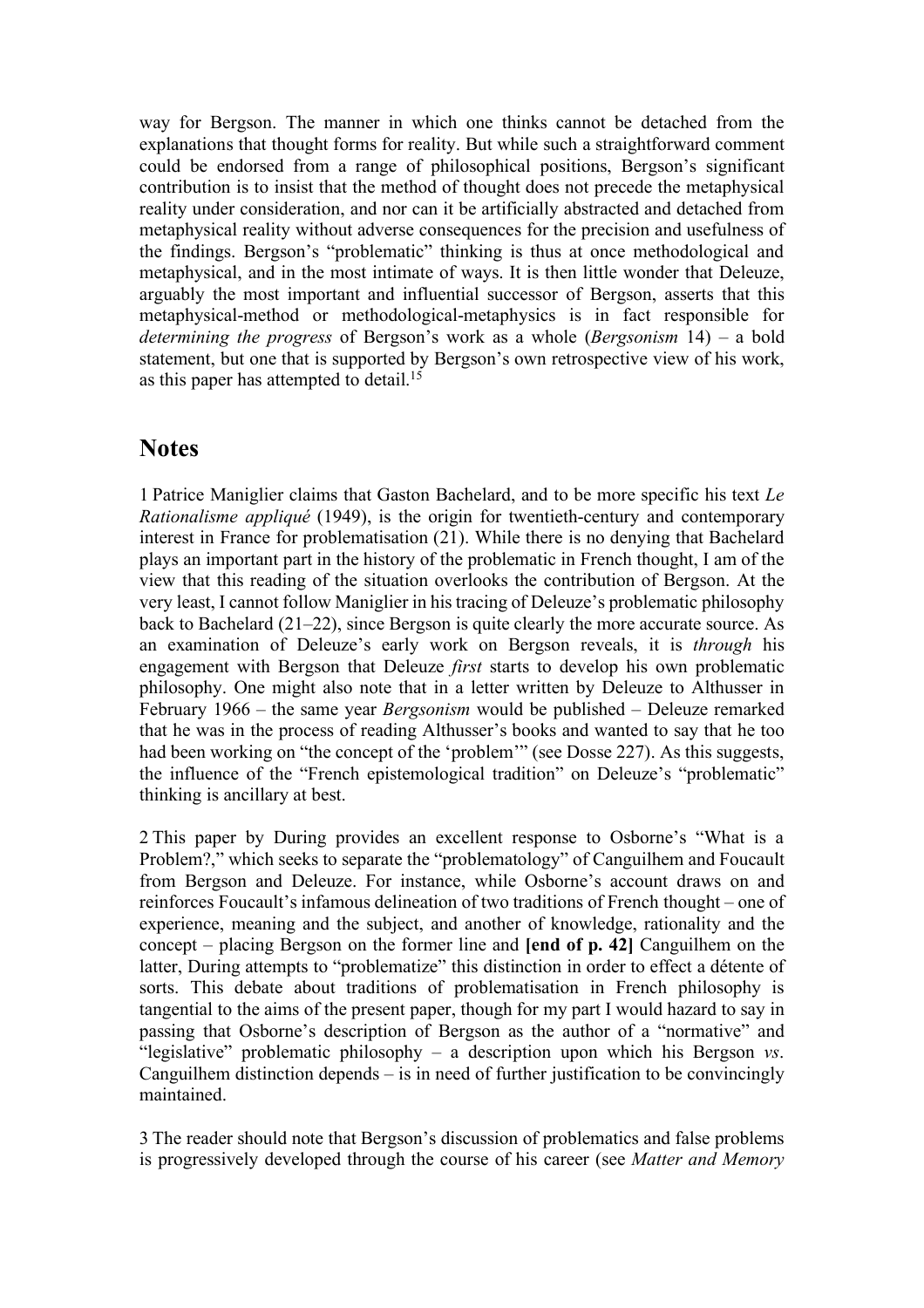way for Bergson. The manner in which one thinks cannot be detached from the explanations that thought forms for reality. But while such a straightforward comment could be endorsed from a range of philosophical positions, Bergson's significant contribution is to insist that the method of thought does not precede the metaphysical reality under consideration, and nor can it be artificially abstracted and detached from metaphysical reality without adverse consequences for the precision and usefulness of the findings. Bergson's "problematic" thinking is thus at once methodological and metaphysical, and in the most intimate of ways. It is then little wonder that Deleuze, arguably the most important and influential successor of Bergson, asserts that this metaphysical-method or methodological-metaphysics is in fact responsible for *determining the progress* of Bergson's work as a whole (*Bergsonism* 14) – a bold statement, but one that is supported by Bergson's own retrospective view of his work, as this paper has attempted to detail.<sup>15</sup>

### **Notes**

1 Patrice Maniglier claims that Gaston Bachelard, and to be more specific his text *Le Rationalisme appliqué* (1949), is the origin for twentieth-century and contemporary interest in France for problematisation (21). While there is no denying that Bachelard plays an important part in the history of the problematic in French thought, I am of the view that this reading of the situation overlooks the contribution of Bergson. At the very least, I cannot follow Maniglier in his tracing of Deleuze's problematic philosophy back to Bachelard (21–22), since Bergson is quite clearly the more accurate source. As an examination of Deleuze's early work on Bergson reveals, it is *through* his engagement with Bergson that Deleuze *first* starts to develop his own problematic philosophy. One might also note that in a letter written by Deleuze to Althusser in February 1966 – the same year *Bergsonism* would be published – Deleuze remarked that he was in the process of reading Althusser's books and wanted to say that he too had been working on "the concept of the 'problem'" (see Dosse 227). As this suggests, the influence of the "French epistemological tradition" on Deleuze's "problematic" thinking is ancillary at best.

2 This paper by During provides an excellent response to Osborne's "What is a Problem?," which seeks to separate the "problematology" of Canguilhem and Foucault from Bergson and Deleuze. For instance, while Osborne's account draws on and reinforces Foucault's infamous delineation of two traditions of French thought – one of experience, meaning and the subject, and another of knowledge, rationality and the concept – placing Bergson on the former line and **[end of p. 42]** Canguilhem on the latter, During attempts to "problematize" this distinction in order to effect a détente of sorts. This debate about traditions of problematisation in French philosophy is tangential to the aims of the present paper, though for my part I would hazard to say in passing that Osborne's description of Bergson as the author of a "normative" and "legislative" problematic philosophy – a description upon which his Bergson *vs*. Canguilhem distinction depends – is in need of further justification to be convincingly maintained.

3 The reader should note that Bergson's discussion of problematics and false problems is progressively developed through the course of his career (see *Matter and Memory*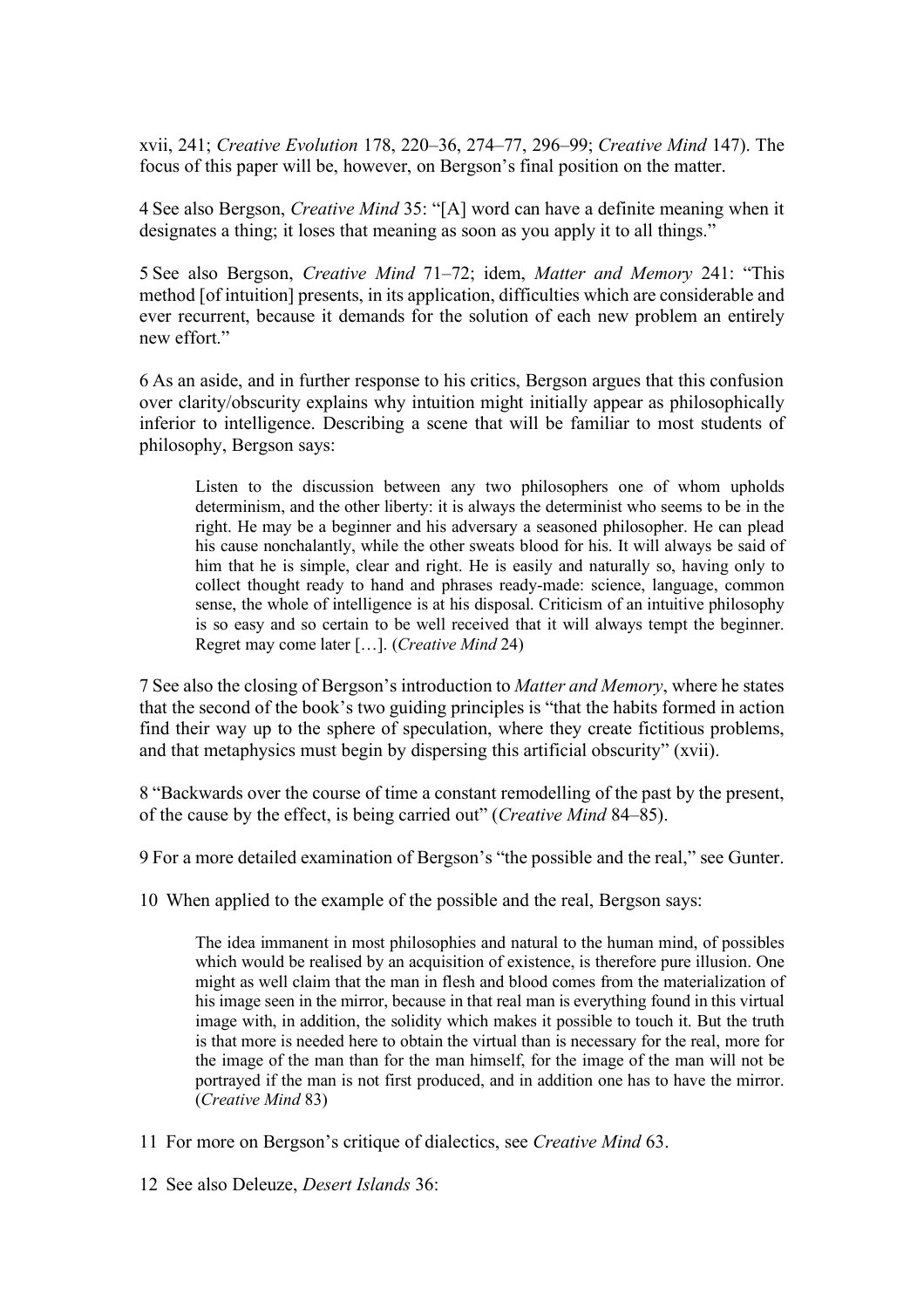xvii, 241; *Creative Evolution* 178, 220–36, 274–77, 296–99; *Creative Mind* 147). The focus of this paper will be, however, on Bergson's final position on the matter.

4 See also Bergson, *Creative Mind* 35: "[A] word can have a definite meaning when it designates a thing; it loses that meaning as soon as you apply it to all things."

5 See also Bergson, *Creative Mind* 71–72; idem, *Matter and Memory* 241: "This method [of intuition] presents, in its application, difficulties which are considerable and ever recurrent, because it demands for the solution of each new problem an entirely new effort."

6 As an aside, and in further response to his critics, Bergson argues that this confusion over clarity/obscurity explains why intuition might initially appear as philosophically inferior to intelligence. Describing a scene that will be familiar to most students of philosophy, Bergson says:

Listen to the discussion between any two philosophers one of whom upholds determinism, and the other liberty: it is always the determinist who seems to be in the right. He may be a beginner and his adversary a seasoned philosopher. He can plead his cause nonchalantly, while the other sweats blood for his. It will always be said of him that he is simple, clear and right. He is easily and naturally so, having only to collect thought ready to hand and phrases ready-made: science, language, common sense, the whole of intelligence is at his disposal. Criticism of an intuitive philosophy is so easy and so certain to be well received that it will always tempt the beginner. Regret may come later […]. (*Creative Mind* 24)

7 See also the closing of Bergson's introduction to *Matter and Memory*, where he states that the second of the book's two guiding principles is "that the habits formed in action find their way up to the sphere of speculation, where they create fictitious problems, and that metaphysics must begin by dispersing this artificial obscurity" (xvii).

8 "Backwards over the course of time a constant remodelling of the past by the present, of the cause by the effect, is being carried out" (*Creative Mind* 84–85).

9 For a more detailed examination of Bergson's "the possible and the real," see Gunter.

10 When applied to the example of the possible and the real, Bergson says:

The idea immanent in most philosophies and natural to the human mind, of possibles which would be realised by an acquisition of existence, is therefore pure illusion. One might as well claim that the man in flesh and blood comes from the materialization of his image seen in the mirror, because in that real man is everything found in this virtual image with, in addition, the solidity which makes it possible to touch it. But the truth is that more is needed here to obtain the virtual than is necessary for the real, more for the image of the man than for the man himself, for the image of the man will not be portrayed if the man is not first produced, and in addition one has to have the mirror. (*Creative Mind* 83)

11 For more on Bergson's critique of dialectics, see *Creative Mind* 63.

12 See also Deleuze, *Desert Islands* 36: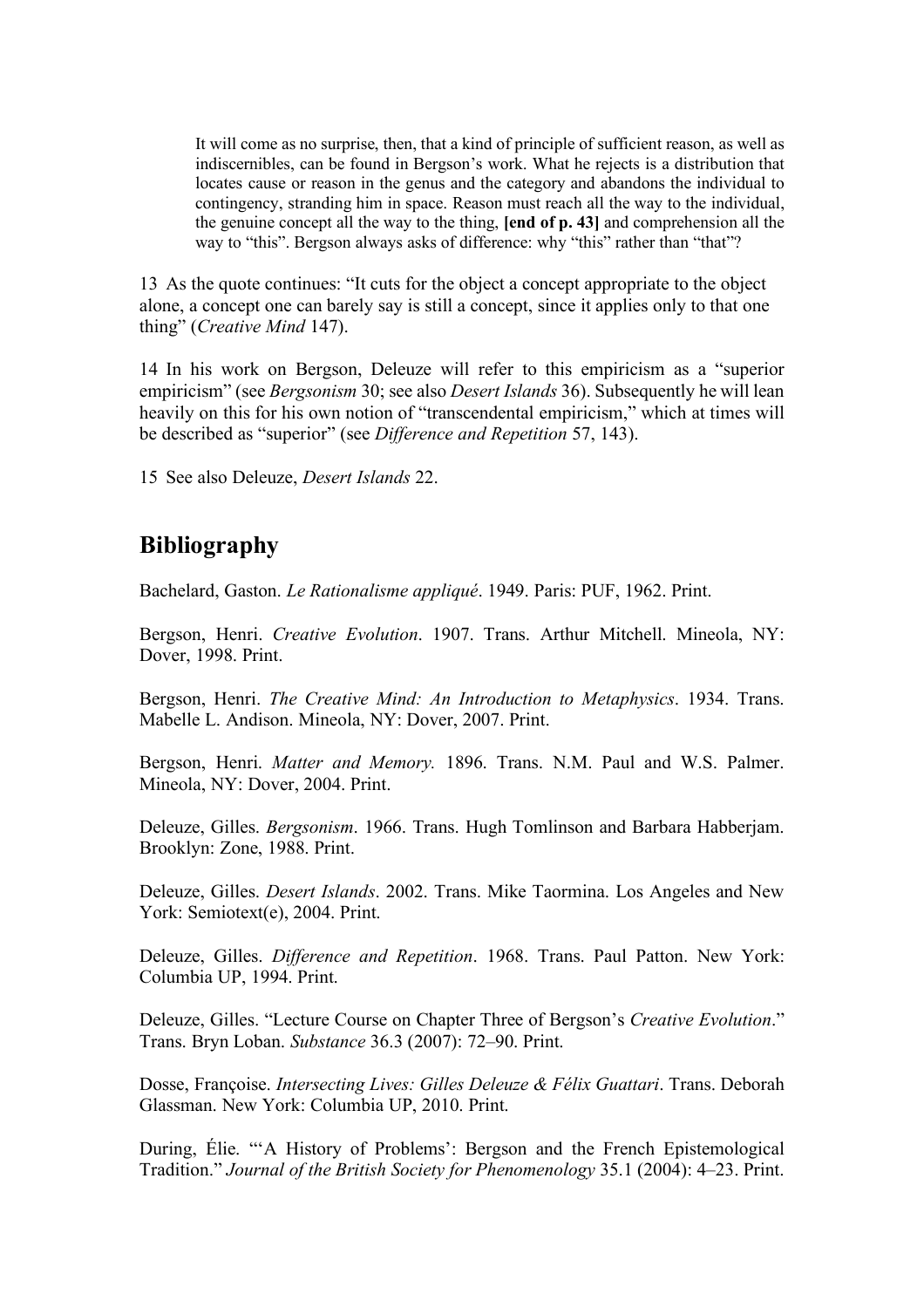It will come as no surprise, then, that a kind of principle of sufficient reason, as well as indiscernibles, can be found in Bergson's work. What he rejects is a distribution that locates cause or reason in the genus and the category and abandons the individual to contingency, stranding him in space. Reason must reach all the way to the individual, the genuine concept all the way to the thing, **[end of p. 43]** and comprehension all the way to "this". Bergson always asks of difference: why "this" rather than "that"?

13 As the quote continues: "It cuts for the object a concept appropriate to the object alone, a concept one can barely say is still a concept, since it applies only to that one thing" (*Creative Mind* 147).

14 In his work on Bergson, Deleuze will refer to this empiricism as a "superior empiricism" (see *Bergsonism* 30; see also *Desert Islands* 36). Subsequently he will lean heavily on this for his own notion of "transcendental empiricism," which at times will be described as "superior" (see *Difference and Repetition* 57, 143).

15 See also Deleuze, *Desert Islands* 22.

## **Bibliography**

Bachelard, Gaston. *Le Rationalisme appliqué*. 1949. Paris: PUF, 1962. Print.

Bergson, Henri. *Creative Evolution*. 1907. Trans. Arthur Mitchell. Mineola, NY: Dover, 1998. Print.

Bergson, Henri. *The Creative Mind: An Introduction to Metaphysics*. 1934. Trans. Mabelle L. Andison. Mineola, NY: Dover, 2007. Print.

Bergson, Henri. *Matter and Memory.* 1896. Trans. N.M. Paul and W.S. Palmer. Mineola, NY: Dover, 2004. Print.

Deleuze, Gilles. *Bergsonism*. 1966. Trans. Hugh Tomlinson and Barbara Habberjam. Brooklyn: Zone, 1988. Print.

Deleuze, Gilles. *Desert Islands*. 2002. Trans. Mike Taormina. Los Angeles and New York: Semiotext(e), 2004. Print.

Deleuze, Gilles. *Difference and Repetition*. 1968. Trans. Paul Patton. New York: Columbia UP, 1994. Print.

Deleuze, Gilles. "Lecture Course on Chapter Three of Bergson's *Creative Evolution*." Trans. Bryn Loban. *Substance* 36.3 (2007): 72–90. Print.

Dosse, Françoise. *Intersecting Lives: Gilles Deleuze & Félix Guattari*. Trans. Deborah Glassman. New York: Columbia UP, 2010. Print.

During, Élie. "'A History of Problems': Bergson and the French Epistemological Tradition." *Journal of the British Society for Phenomenology* 35.1 (2004): 4–23. Print.